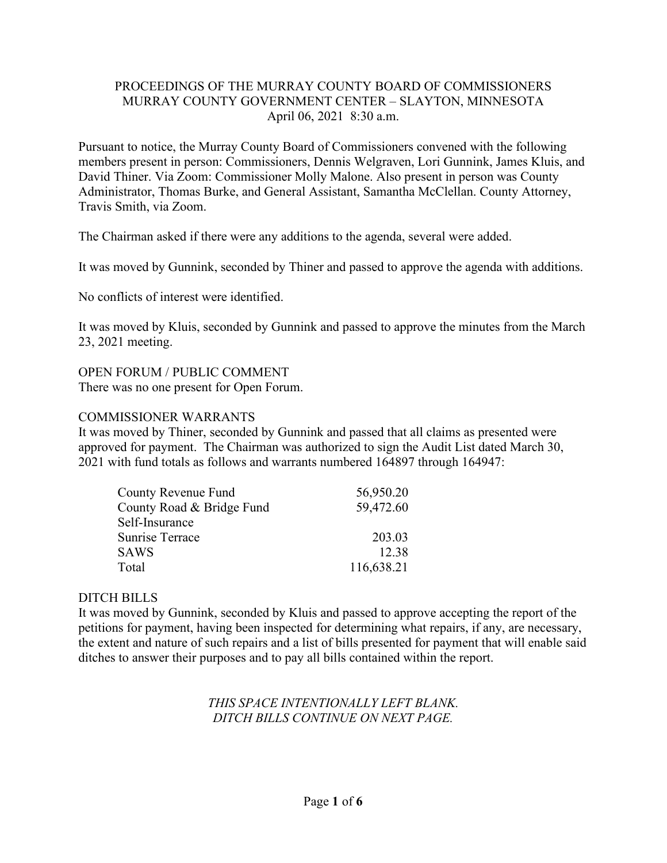## PROCEEDINGS OF THE MURRAY COUNTY BOARD OF COMMISSIONERS MURRAY COUNTY GOVERNMENT CENTER – SLAYTON, MINNESOTA April 06, 2021 8:30 a.m.

Pursuant to notice, the Murray County Board of Commissioners convened with the following members present in person: Commissioners, Dennis Welgraven, Lori Gunnink, James Kluis, and David Thiner. Via Zoom: Commissioner Molly Malone. Also present in person was County Administrator, Thomas Burke, and General Assistant, Samantha McClellan. County Attorney, Travis Smith, via Zoom.

The Chairman asked if there were any additions to the agenda, several were added.

It was moved by Gunnink, seconded by Thiner and passed to approve the agenda with additions.

No conflicts of interest were identified.

It was moved by Kluis, seconded by Gunnink and passed to approve the minutes from the March 23, 2021 meeting.

### OPEN FORUM / PUBLIC COMMENT

There was no one present for Open Forum.

### COMMISSIONER WARRANTS

It was moved by Thiner, seconded by Gunnink and passed that all claims as presented were approved for payment. The Chairman was authorized to sign the Audit List dated March 30, 2021 with fund totals as follows and warrants numbered 164897 through 164947:

| County Revenue Fund       | 56,950.20  |
|---------------------------|------------|
| County Road & Bridge Fund | 59,472.60  |
| Self-Insurance            |            |
| <b>Sunrise Terrace</b>    | 203.03     |
| <b>SAWS</b>               | 12.38      |
| Total                     | 116,638.21 |

### DITCH BILLS

It was moved by Gunnink, seconded by Kluis and passed to approve accepting the report of the petitions for payment, having been inspected for determining what repairs, if any, are necessary, the extent and nature of such repairs and a list of bills presented for payment that will enable said ditches to answer their purposes and to pay all bills contained within the report.

# *THIS SPACE INTENTIONALLY LEFT BLANK. DITCH BILLS CONTINUE ON NEXT PAGE.*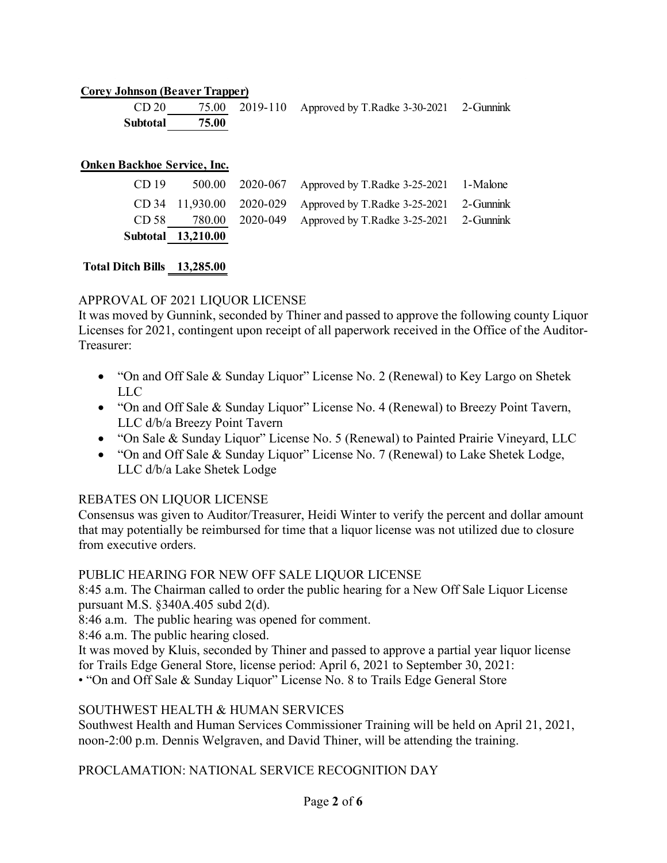### **Corey Johnson (Beaver Trapper)**

|                | CD 20 75.00 2019-110 Approved by T.Radke 3-30-2021 2-Gunnink |  |
|----------------|--------------------------------------------------------------|--|
| Subtotal 75.00 |                                                              |  |

#### **Onken Backhoe Service, Inc.**

|                  | Subtotal 13,210.00 |                                                                  |  |
|------------------|--------------------|------------------------------------------------------------------|--|
|                  |                    | CD 58 780.00 2020-049 Approved by T.Radke 3-25-2021 2-Gunnink    |  |
|                  |                    | CD 34 11,930.00 2020-029 Approved by T.Radke 3-25-2021 2-Gunnink |  |
| CD <sub>19</sub> |                    | 500.00 2020-067 Approved by T.Radke 3-25-2021 1-Malone           |  |

### **Total Ditch Bills 13,285.00**

### APPROVAL OF 2021 LIQUOR LICENSE

It was moved by Gunnink, seconded by Thiner and passed to approve the following county Liquor Licenses for 2021, contingent upon receipt of all paperwork received in the Office of the Auditor-Treasurer:

- "On and Off Sale & Sunday Liquor" License No. 2 (Renewal) to Key Largo on Shetek LLC
- "On and Off Sale & Sunday Liquor" License No. 4 (Renewal) to Breezy Point Tavern, LLC d/b/a Breezy Point Tavern
- "On Sale & Sunday Liquor" License No. 5 (Renewal) to Painted Prairie Vineyard, LLC
- "On and Off Sale & Sunday Liquor" License No. 7 (Renewal) to Lake Shetek Lodge, LLC d/b/a Lake Shetek Lodge

### REBATES ON LIQUOR LICENSE

Consensus was given to Auditor/Treasurer, Heidi Winter to verify the percent and dollar amount that may potentially be reimbursed for time that a liquor license was not utilized due to closure from executive orders.

### PUBLIC HEARING FOR NEW OFF SALE LIQUOR LICENSE

8:45 a.m. The Chairman called to order the public hearing for a New Off Sale Liquor License pursuant M.S. §340A.405 subd 2(d).

8:46 a.m. The public hearing was opened for comment.

8:46 a.m. The public hearing closed.

It was moved by Kluis, seconded by Thiner and passed to approve a partial year liquor license for Trails Edge General Store, license period: April 6, 2021 to September 30, 2021:

• "On and Off Sale & Sunday Liquor" License No. 8 to Trails Edge General Store

### SOUTHWEST HEALTH & HUMAN SERVICES

Southwest Health and Human Services Commissioner Training will be held on April 21, 2021, noon-2:00 p.m. Dennis Welgraven, and David Thiner, will be attending the training.

## PROCLAMATION: NATIONAL SERVICE RECOGNITION DAY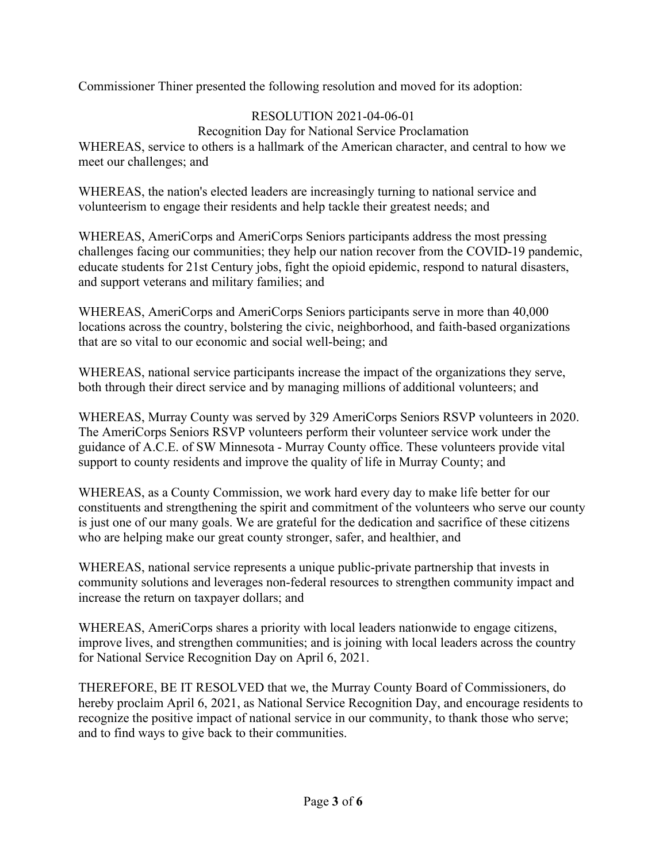Commissioner Thiner presented the following resolution and moved for its adoption:

# RESOLUTION 2021-04-06-01

Recognition Day for National Service Proclamation WHEREAS, service to others is a hallmark of the American character, and central to how we meet our challenges; and

WHEREAS, the nation's elected leaders are increasingly turning to national service and volunteerism to engage their residents and help tackle their greatest needs; and

WHEREAS, AmeriCorps and AmeriCorps Seniors participants address the most pressing challenges facing our communities; they help our nation recover from the COVID-19 pandemic, educate students for 21st Century jobs, fight the opioid epidemic, respond to natural disasters, and support veterans and military families; and

WHEREAS, AmeriCorps and AmeriCorps Seniors participants serve in more than 40,000 locations across the country, bolstering the civic, neighborhood, and faith-based organizations that are so vital to our economic and social well-being; and

WHEREAS, national service participants increase the impact of the organizations they serve, both through their direct service and by managing millions of additional volunteers; and

WHEREAS, Murray County was served by 329 AmeriCorps Seniors RSVP volunteers in 2020. The AmeriCorps Seniors RSVP volunteers perform their volunteer service work under the guidance of A.C.E. of SW Minnesota - Murray County office. These volunteers provide vital support to county residents and improve the quality of life in Murray County; and

WHEREAS, as a County Commission, we work hard every day to make life better for our constituents and strengthening the spirit and commitment of the volunteers who serve our county is just one of our many goals. We are grateful for the dedication and sacrifice of these citizens who are helping make our great county stronger, safer, and healthier, and

WHEREAS, national service represents a unique public-private partnership that invests in community solutions and leverages non-federal resources to strengthen community impact and increase the return on taxpayer dollars; and

WHEREAS, AmeriCorps shares a priority with local leaders nationwide to engage citizens, improve lives, and strengthen communities; and is joining with local leaders across the country for National Service Recognition Day on April 6, 2021.

THEREFORE, BE IT RESOLVED that we, the Murray County Board of Commissioners, do hereby proclaim April 6, 2021, as National Service Recognition Day, and encourage residents to recognize the positive impact of national service in our community, to thank those who serve; and to find ways to give back to their communities.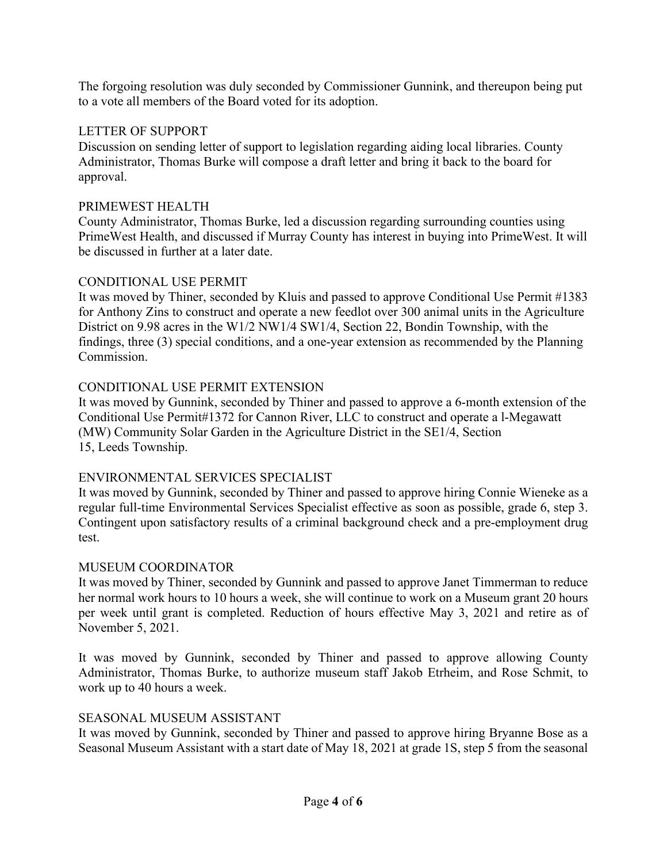The forgoing resolution was duly seconded by Commissioner Gunnink, and thereupon being put to a vote all members of the Board voted for its adoption.

# LETTER OF SUPPORT

Discussion on sending letter of support to legislation regarding aiding local libraries. County Administrator, Thomas Burke will compose a draft letter and bring it back to the board for approval.

## PRIMEWEST HEALTH

County Administrator, Thomas Burke, led a discussion regarding surrounding counties using PrimeWest Health, and discussed if Murray County has interest in buying into PrimeWest. It will be discussed in further at a later date.

# CONDITIONAL USE PERMIT

It was moved by Thiner, seconded by Kluis and passed to approve Conditional Use Permit #1383 for Anthony Zins to construct and operate a new feedlot over 300 animal units in the Agriculture District on 9.98 acres in the W1/2 NW1/4 SW1/4, Section 22, Bondin Township, with the findings, three (3) special conditions, and a one-year extension as recommended by the Planning Commission.

# CONDITIONAL USE PERMIT EXTENSION

It was moved by Gunnink, seconded by Thiner and passed to approve a 6-month extension of the Conditional Use Permit#1372 for Cannon River, LLC to construct and operate a l-Megawatt (MW) Community Solar Garden in the Agriculture District in the SE1/4, Section 15, Leeds Township.

# ENVIRONMENTAL SERVICES SPECIALIST

It was moved by Gunnink, seconded by Thiner and passed to approve hiring Connie Wieneke as a regular full-time Environmental Services Specialist effective as soon as possible, grade 6, step 3. Contingent upon satisfactory results of a criminal background check and a pre-employment drug test.

## MUSEUM COORDINATOR

It was moved by Thiner, seconded by Gunnink and passed to approve Janet Timmerman to reduce her normal work hours to 10 hours a week, she will continue to work on a Museum grant 20 hours per week until grant is completed. Reduction of hours effective May 3, 2021 and retire as of November 5, 2021.

It was moved by Gunnink, seconded by Thiner and passed to approve allowing County Administrator, Thomas Burke, to authorize museum staff Jakob Etrheim, and Rose Schmit, to work up to 40 hours a week.

## SEASONAL MUSEUM ASSISTANT

It was moved by Gunnink, seconded by Thiner and passed to approve hiring Bryanne Bose as a Seasonal Museum Assistant with a start date of May 18, 2021 at grade 1S, step 5 from the seasonal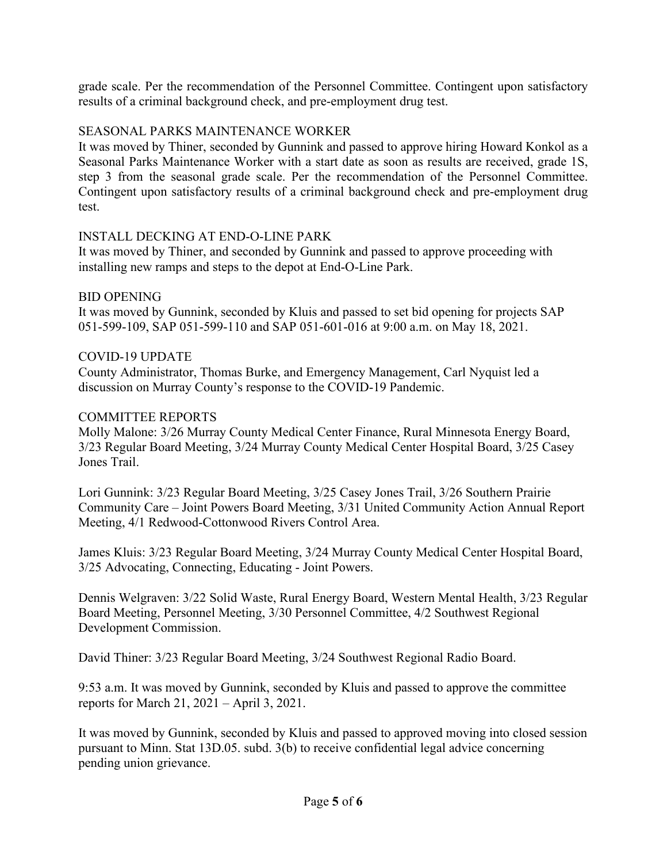grade scale. Per the recommendation of the Personnel Committee. Contingent upon satisfactory results of a criminal background check, and pre-employment drug test.

## SEASONAL PARKS MAINTENANCE WORKER

It was moved by Thiner, seconded by Gunnink and passed to approve hiring Howard Konkol as a Seasonal Parks Maintenance Worker with a start date as soon as results are received, grade 1S, step 3 from the seasonal grade scale. Per the recommendation of the Personnel Committee. Contingent upon satisfactory results of a criminal background check and pre-employment drug test.

### INSTALL DECKING AT END-O-LINE PARK

It was moved by Thiner, and seconded by Gunnink and passed to approve proceeding with installing new ramps and steps to the depot at End-O-Line Park.

### BID OPENING

It was moved by Gunnink, seconded by Kluis and passed to set bid opening for projects SAP 051-599-109, SAP 051-599-110 and SAP 051-601-016 at 9:00 a.m. on May 18, 2021.

### COVID-19 UPDATE

County Administrator, Thomas Burke, and Emergency Management, Carl Nyquist led a discussion on Murray County's response to the COVID-19 Pandemic.

### COMMITTEE REPORTS

Molly Malone: 3/26 Murray County Medical Center Finance, Rural Minnesota Energy Board, 3/23 Regular Board Meeting, 3/24 Murray County Medical Center Hospital Board, 3/25 Casey Jones Trail.

Lori Gunnink: 3/23 Regular Board Meeting, 3/25 Casey Jones Trail, 3/26 Southern Prairie Community Care – Joint Powers Board Meeting, 3/31 United Community Action Annual Report Meeting, 4/1 Redwood-Cottonwood Rivers Control Area.

James Kluis: 3/23 Regular Board Meeting, 3/24 Murray County Medical Center Hospital Board, 3/25 Advocating, Connecting, Educating - Joint Powers.

Dennis Welgraven: 3/22 Solid Waste, Rural Energy Board, Western Mental Health, 3/23 Regular Board Meeting, Personnel Meeting, 3/30 Personnel Committee, 4/2 Southwest Regional Development Commission.

David Thiner: 3/23 Regular Board Meeting, 3/24 Southwest Regional Radio Board.

9:53 a.m. It was moved by Gunnink, seconded by Kluis and passed to approve the committee reports for March 21, 2021 – April 3, 2021.

It was moved by Gunnink, seconded by Kluis and passed to approved moving into closed session pursuant to Minn. Stat 13D.05. subd. 3(b) to receive confidential legal advice concerning pending union grievance.